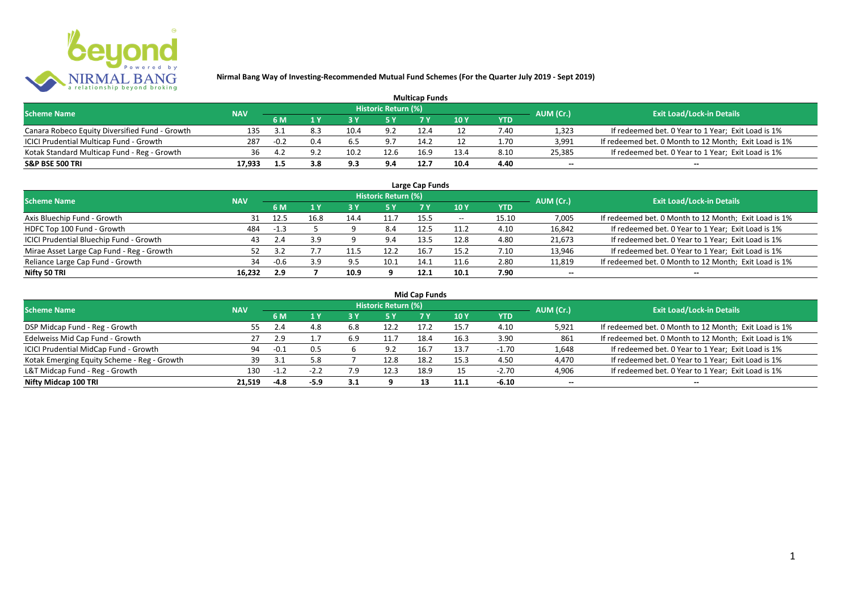

| <b>Multicap Funds</b>                          |            |        |     |      |                            |      |      |      |                          |                                                       |  |  |
|------------------------------------------------|------------|--------|-----|------|----------------------------|------|------|------|--------------------------|-------------------------------------------------------|--|--|
| <b>Scheme Name</b>                             | <b>NAV</b> |        |     |      | <b>Historic Return (%)</b> |      |      |      | AUM (Cr.)                | <b>Exit Load/Lock-in Details</b>                      |  |  |
|                                                |            | 6 M    |     |      |                            |      | 10Y  | YTD  |                          |                                                       |  |  |
| Canara Robeco Equity Diversified Fund - Growth | 135        |        | 8.3 | 10.4 | 9.2                        | 12.4 |      | 7.40 | 1,323                    | If redeemed bet. 0 Year to 1 Year; Exit Load is 1%    |  |  |
| ICICI Prudential Multicap Fund - Growth        | 287        | $-0.2$ | 0.4 | 6.5  | 9.7                        | 14.2 |      | 1.70 | 3,991                    | If redeemed bet. 0 Month to 12 Month; Exit Load is 1% |  |  |
| Kotak Standard Multicap Fund - Reg - Growth    | 36         | 4.2    | ດ າ | 10.2 | 12.6                       | 16.9 | 13.4 | 8.10 | 25,385                   | If redeemed bet. 0 Year to 1 Year; Exit Load is 1%    |  |  |
| S&P BSE 500 TRI                                | 17.933     |        | 3.8 | 9.3  | 9.4                        | 12.7 | 10.4 | 4.40 | $\overline{\phantom{a}}$ | $\overline{\phantom{a}}$                              |  |  |

| Large Cap Funds<br>Historic Return (%)    |            |            |      |      |      |      |       |            |                          |                                                       |  |  |  |
|-------------------------------------------|------------|------------|------|------|------|------|-------|------------|--------------------------|-------------------------------------------------------|--|--|--|
| <b>Scheme Name</b>                        | <b>NAV</b> |            |      |      |      |      |       |            | AUM (Cr.)                | <b>Exit Load/Lock-in Details</b>                      |  |  |  |
|                                           |            | 6 M        | 1 Y  |      | 5 Y  |      | 10Y   | <b>YTD</b> |                          |                                                       |  |  |  |
| Axis Bluechip Fund - Growth               | 31         | 12.5       | 16.8 | 14.4 | 11.7 | 15.5 | $- -$ | 15.10      | 7,005                    | If redeemed bet. 0 Month to 12 Month; Exit Load is 1% |  |  |  |
| HDFC Top 100 Fund - Growth                | 484        | $-1.3$     |      |      | 8.4  | 12.5 | 11.2  | 4.10       | 16,842                   | If redeemed bet. 0 Year to 1 Year; Exit Load is 1%    |  |  |  |
| ICICI Prudential Bluechip Fund - Growth   | 43         | 2.4        | 3.9  |      | 9.4  | 13.5 | 12.8  | 4.80       | 21,673                   | If redeemed bet. 0 Year to 1 Year; Exit Load is 1%    |  |  |  |
| Mirae Asset Large Cap Fund - Reg - Growth |            | <b>2</b> J |      |      | 12.2 | 16.7 | 15.2  | 7.10       | 13,946                   | If redeemed bet. 0 Year to 1 Year; Exit Load is 1%    |  |  |  |
| Reliance Large Cap Fund - Growth          | 34         | $-0.6$     | 3.9  | 9.5  | 10.1 | 14.1 | 11.6  | 2.80       | 11,819                   | If redeemed bet. 0 Month to 12 Month; Exit Load is 1% |  |  |  |
| Nifty 50 TRI                              | 16.232     | 2.9        |      | 10.9 |      | 12.1 | 10.1  | 7.90       | $\overline{\phantom{a}}$ | $\overline{\phantom{a}}$                              |  |  |  |

|  |  | <b>Mid Cap Funds</b> |
|--|--|----------------------|
|--|--|----------------------|

| <b>Scheme Name</b>                          | <b>NAV</b> |        |        |     | Historic Return (%) |      |      |            | AUM (Cr.)                | <b>Exit Load/Lock-in Details</b>                      |
|---------------------------------------------|------------|--------|--------|-----|---------------------|------|------|------------|--------------------------|-------------------------------------------------------|
|                                             |            | 6 M    | 1 Y    | 8 Y | 5 Y                 |      | 10 Y | <b>YTD</b> |                          |                                                       |
| DSP Midcap Fund - Reg - Growth              | 55.        | 2.4    | 4.8    | 6.8 | 12.2                | 17.2 | 15.7 | 4.10       | 5,921                    | If redeemed bet. 0 Month to 12 Month; Exit Load is 1% |
| Edelweiss Mid Cap Fund - Growth             |            | 2.9    |        | 6.9 | 11.                 |      | 16.3 | 3.90       | 861                      | If redeemed bet. 0 Month to 12 Month; Exit Load is 1% |
| ICICI Prudential MidCap Fund - Growth       | 94         | $-0.1$ | 0.5    |     | 9.2                 |      | 13.7 | $-1.70$    | 1,648                    | If redeemed bet. 0 Year to 1 Year; Exit Load is 1%    |
| Kotak Emerging Equity Scheme - Reg - Growth | 39         | 21     | 5.8    |     | 12.8                |      | 15.3 | 4.50       | 4,470                    | If redeemed bet. 0 Year to 1 Year; Exit Load is 1%    |
| L&T Midcap Fund - Reg - Growth              | 130        | $-1.2$ | $-2.2$ | 7.9 | 12.3                | 18.9 |      | $-2.70$    | 4,906                    | If redeemed bet. 0 Year to 1 Year; Exit Load is 1%    |
| Nifty Midcap 100 TRI                        | 21.519     | -4.8   | -5.9   | 3.1 |                     |      | 11.1 | $-6.10$    | $\overline{\phantom{a}}$ | $\overline{\phantom{a}}$                              |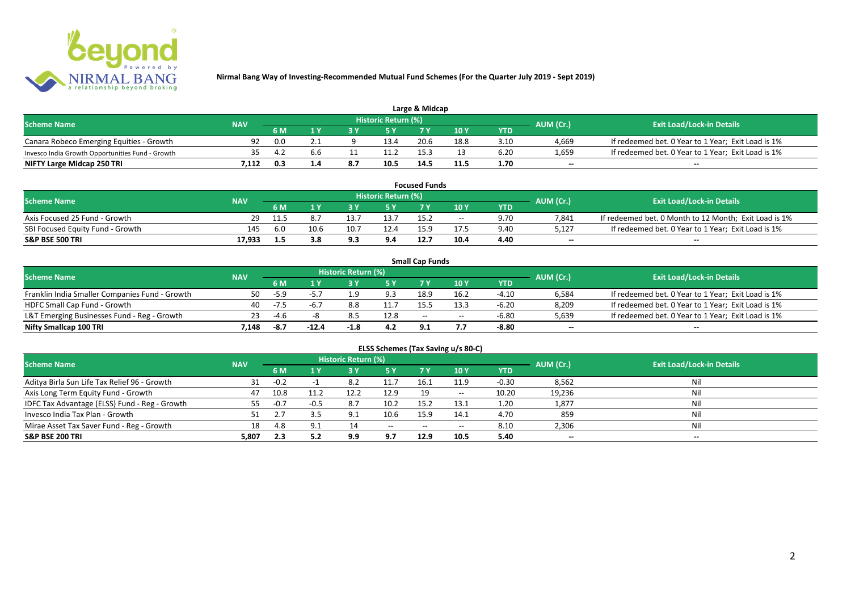

| Large & Midcap                                   |            |     |     |                         |                     |      |      |      |                          |                                                    |  |  |
|--------------------------------------------------|------------|-----|-----|-------------------------|---------------------|------|------|------|--------------------------|----------------------------------------------------|--|--|
| <b>Scheme Name</b>                               | <b>NAV</b> |     |     |                         | Historic Return (%) |      |      |      |                          | <b>Exit Load/Lock-in Details</b>                   |  |  |
|                                                  |            | 6 M |     | AUM (Cr.)<br>10Y<br>YTD |                     |      |      |      |                          |                                                    |  |  |
| Canara Robeco Emerging Equities - Growth         | 92         | 0.0 |     |                         | 13.4                | 20.6 | 18.8 | 3.10 | 4.669                    | If redeemed bet. 0 Year to 1 Year; Exit Load is 1% |  |  |
| Invesco India Growth Opportunities Fund - Growth | 35.        |     | b.b |                         | 11.2                |      |      | 6.20 | 1,659                    | If redeemed bet. 0 Year to 1 Year; Exit Load is 1% |  |  |
| NIFTY Large Midcap 250 TRI                       | 1.112      | 0.3 |     | 8.7                     | 10.5                | 14.  | 11.5 | 1.70 | $\overline{\phantom{a}}$ | $- -$                                              |  |  |

| <b>Focused Funds</b>             |            |      |      |      |                     |      |       |            |           |                                                       |  |
|----------------------------------|------------|------|------|------|---------------------|------|-------|------------|-----------|-------------------------------------------------------|--|
| <b>Scheme Name</b>               | <b>NAV</b> |      |      |      | Historic Return (%) |      |       |            | AUM (Cr.) | <b>Exit Load/Lock-in Details</b>                      |  |
|                                  |            | 6 M  |      |      | <b>EV</b>           |      | 10 Y  | <b>YTD</b> |           |                                                       |  |
| Axis Focused 25 Fund - Growth    | 29.        | 11.5 |      | 13.7 | 13.7                | 15.2 | $- -$ | 9.70       | 7.841     | If redeemed bet. 0 Month to 12 Month; Exit Load is 1% |  |
| SBI Focused Equity Fund - Growth | 145        | 6.0  | 10.6 | 10.7 | 12.4                | 15.9 |       | 9.40       | 5,127     | If redeemed bet. 0 Year to 1 Year; Exit Load is 1%    |  |
| S&P BSE 500 TRI                  | 17.933     | 1.5  | 3.8  | 9.3  | 9.4                 | 12.7 | 10.4  | 4.40       | $- -$     | $-$                                                   |  |

|                                                |            |        |         |                     |      | <b>Small Cap Funds</b>                          |       |         |                          |                                                    |
|------------------------------------------------|------------|--------|---------|---------------------|------|-------------------------------------------------|-------|---------|--------------------------|----------------------------------------------------|
| <b>Scheme Name</b>                             | <b>NAV</b> |        |         | Historic Return (%) |      |                                                 |       |         | AUM (Cr.)                |                                                    |
|                                                |            | 6 M    |         |                     |      | <b>Exit Load/Lock-in Details</b><br>10 Y<br>YTD |       |         |                          |                                                    |
| Franklin India Smaller Companies Fund - Growth | 50         | $-5.9$ |         |                     | 9.3  | 18.9                                            | 16.2  | $-4.10$ | 6,584                    | If redeemed bet. 0 Year to 1 Year; Exit Load is 1% |
| HDFC Small Cap Fund - Growth                   | 40         | $-7.5$ | $-6.7$  | 8.8                 | 11.7 | 15.5                                            | 13.3  | $-6.20$ | 8,209                    | If redeemed bet. 0 Year to 1 Year; Exit Load is 1% |
| L&T Emerging Businesses Fund - Reg - Growth    | 23         | -4.6   |         |                     | 12.8 | $-$                                             | $- -$ | $-6.80$ | 5,639                    | If redeemed bet. 0 Year to 1 Year; Exit Load is 1% |
| Nifty Smallcap 100 TRI                         | 1.148      | -8.7   | $-12.4$ | $-1.8$              | 4.2  | 91                                              |       | -8.80   | $\overline{\phantom{a}}$ | $-$                                                |

| ELSS Schemes (Tax Saving u/s 80-C)            |            |        |        |                     |                          |           |       |            |           |                                  |  |  |
|-----------------------------------------------|------------|--------|--------|---------------------|--------------------------|-----------|-------|------------|-----------|----------------------------------|--|--|
| <b>Scheme Name</b>                            | <b>NAV</b> |        |        | Historic Return (%) |                          |           |       |            | AUM (Cr.) | <b>Exit Load/Lock-in Details</b> |  |  |
|                                               |            | 6 M    | 1 Y    | 73 Y                | 15 Y                     | <b>7Y</b> | 10 Y  | <b>YTD</b> |           |                                  |  |  |
| Aditya Birla Sun Life Tax Relief 96 - Growth  | 31         | $-0.2$ |        | 8.2                 |                          | 16.1      | 11.9  | $-0.30$    | 8,562     | Nil                              |  |  |
| Axis Long Term Equity Fund - Growth           | 47         | 10.8   | 11.2   | 12.2                | 12.9                     | 19        | $- -$ | 10.20      | 19,236    | Nil                              |  |  |
| IDFC Tax Advantage (ELSS) Fund - Reg - Growth | 55         | $-0.7$ | $-0.5$ | 8.7                 | 10.2                     | 15.2      | 13.1  | 1.20       | 1,877     | Nil                              |  |  |
| Invesco India Tax Plan - Growth               |            |        |        |                     | 10.6                     | 15.9      | 14.1  | 4.70       | 859       | Nil                              |  |  |
| Mirae Asset Tax Saver Fund - Reg - Growth     | 18         | 4.8    | 9.1    |                     | $\hspace{0.05cm} \ldots$ | $- -$     | $- -$ | 8.10       | 2,306     | Nil                              |  |  |
| S&P BSE 200 TRI                               | 5,807      | 2.3    | 5.2    | 9.9                 | 9.7                      | 12.9      | 10.5  | 5.40       | $\sim$    | $\overline{\phantom{a}}$         |  |  |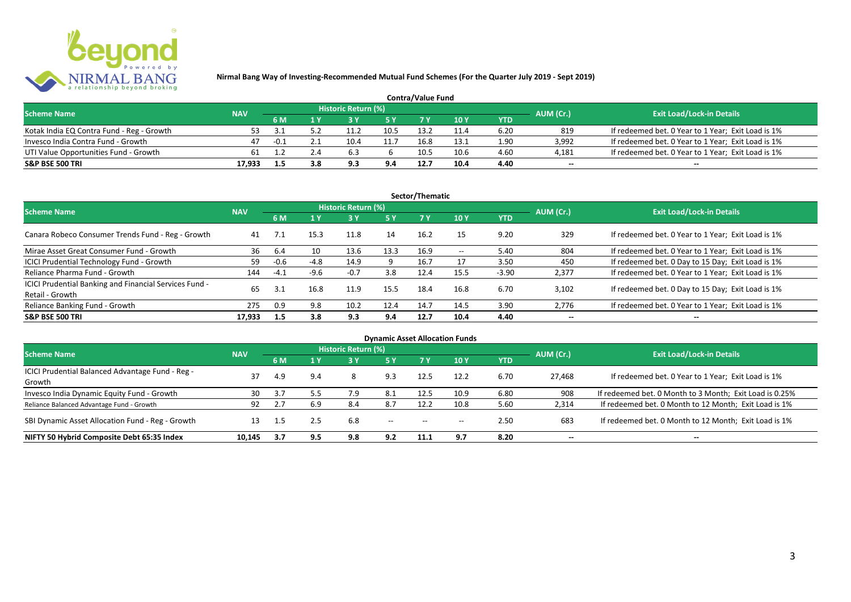

| <b>Contra/Value Fund</b>                  |            |                  |     |                     |      |      |      |      |                          |                                                    |  |  |
|-------------------------------------------|------------|------------------|-----|---------------------|------|------|------|------|--------------------------|----------------------------------------------------|--|--|
| <b>Scheme Name</b>                        | <b>NAV</b> |                  |     | Historic Return (%) |      |      |      |      | AUM (Cr.)                | <b>Exit Load/Lock-in Details</b>                   |  |  |
|                                           |            | 6 M              |     |                     |      |      | 10 Y | YTD  |                          |                                                    |  |  |
| Kotak India EQ Contra Fund - Reg - Growth | 53.        |                  |     | 11.2                | 10.5 | 13.2 |      | 6.20 | 819                      | If redeemed bet. 0 Year to 1 Year; Exit Load is 1% |  |  |
| Invesco India Contra Fund - Growth        | 47         | $-0.1$           |     | 10.4                | 11.7 | 16.8 | 13.: | 1.90 | 3.992                    | If redeemed bet. 0 Year to 1 Year; Exit Load is 1% |  |  |
| UTI Value Opportunities Fund - Growth     | 61         |                  |     |                     |      | 10.5 | 10.6 | 4.60 | 4,181                    | If redeemed bet. 0 Year to 1 Year; Exit Load is 1% |  |  |
| <b>S&amp;P BSE 500 TRI</b>                | 17.933     | 1.5 <sub>1</sub> | 3.8 |                     | 9.4  | 12.7 | 10.4 | 4.40 | $\overline{\phantom{a}}$ | $\overline{\phantom{a}}$                           |  |  |

|                                                                           |            |        |        |                     |           | Sector/Thematic |                   |            |                          |                                                    |
|---------------------------------------------------------------------------|------------|--------|--------|---------------------|-----------|-----------------|-------------------|------------|--------------------------|----------------------------------------------------|
| <b>Scheme Name</b>                                                        | <b>NAV</b> |        |        | Historic Return (%) |           |                 |                   |            | AUM (Cr.)                | <b>Exit Load/Lock-in Details</b>                   |
|                                                                           |            | 6 M    | 1 Y    |                     | <b>5Y</b> | 7Y              | 10Y               | <b>YTD</b> |                          |                                                    |
| Canara Robeco Consumer Trends Fund - Reg - Growth                         | 41         | 7.1    | 15.3   | 11.8                | 14        | 16.2            | 15                | 9.20       | 329                      | If redeemed bet. 0 Year to 1 Year; Exit Load is 1% |
| Mirae Asset Great Consumer Fund - Growth                                  | 36         | -6.4   | 10     | 13.6                | 13.3      | 16.9            | $\hspace{0.05cm}$ | 5.40       | 804                      | If redeemed bet. 0 Year to 1 Year; Exit Load is 1% |
| ICICI Prudential Technology Fund - Growth                                 | 59         | $-0.6$ | $-4.8$ | 14.9                | 9         | 16.7            |                   | 3.50       | 450                      | If redeemed bet. 0 Day to 15 Day; Exit Load is 1%  |
| Reliance Pharma Fund - Growth                                             | 144        | $-4.1$ | $-9.6$ | $-0.7$              | 3.8       | 12.4            | 15.5              | $-3.90$    | 2,377                    | If redeemed bet. 0 Year to 1 Year; Exit Load is 1% |
| ICICI Prudential Banking and Financial Services Fund -<br>Retail - Growth | 65         |        | 16.8   | 11.9                | 15.5      | 18.4            | 16.8              | 6.70       | 3.102                    | If redeemed bet. 0 Day to 15 Day; Exit Load is 1%  |
| Reliance Banking Fund - Growth                                            | 275        | 0.9    | 9.8    | 10.2                | 12.4      | 14.7            | 14.5              | 3.90       | 2,776                    | If redeemed bet. 0 Year to 1 Year; Exit Load is 1% |
| <b>S&amp;P BSE 500 TRI</b>                                                | 17.933     | 1.5    | 3.8    | 9.3                 | 9.4       | 12.7            | 10.4              | 4.40       | $\overline{\phantom{a}}$ | $- -$                                              |

|                                                            |            |     |     |                     |                                                |                                                | <b>Dynamic Asset Allocation Funds</b> |            |           |                                                         |
|------------------------------------------------------------|------------|-----|-----|---------------------|------------------------------------------------|------------------------------------------------|---------------------------------------|------------|-----------|---------------------------------------------------------|
| <b>Scheme Name</b>                                         | <b>NAV</b> |     |     | Historic Return (%) |                                                |                                                |                                       |            | AUM (Cr.) | <b>Exit Load/Lock-in Details</b>                        |
|                                                            |            | 6 M | 1 Y | 3 Y                 | <b>5 Y</b>                                     | <b>7Y</b>                                      | 10Y                                   | <b>YTD</b> |           |                                                         |
| ICICI Prudential Balanced Advantage Fund - Reg -<br>Growth | 37         | 4.9 | 9.4 | 8                   | 9.3                                            | 12.5                                           | 12.2                                  | 6.70       | 27.468    | If redeemed bet. 0 Year to 1 Year; Exit Load is 1%      |
| Invesco India Dynamic Equity Fund - Growth                 | 30         |     | 5.5 | 7.9                 | 8.1                                            | 12.5                                           | 10.9                                  | 6.80       | 908       | If redeemed bet. 0 Month to 3 Month; Exit Load is 0.25% |
| Reliance Balanced Advantage Fund - Growth                  | 92         | 2.7 | 6.9 | 8.4                 | 8.7                                            | 12.2                                           | 10.8                                  | 5.60       | 2,314     | If redeemed bet. 0 Month to 12 Month; Exit Load is 1%   |
| SBI Dynamic Asset Allocation Fund - Reg - Growth           | 13         | 1.5 | 2.5 | 6.8                 | $\hspace{0.1mm}-\hspace{0.1mm}-\hspace{0.1mm}$ | $\hspace{0.1mm}-\hspace{0.1mm}-\hspace{0.1mm}$ | $- -$                                 | 2.50       | 683       | If redeemed bet. 0 Month to 12 Month; Exit Load is 1%   |
| NIFTY 50 Hybrid Composite Debt 65:35 Index                 | 10.145     | 3.7 | 9.5 | 9.8                 | 9.2                                            | 11.1                                           | 9.7                                   | 8.20       | $- -$     | $- -$                                                   |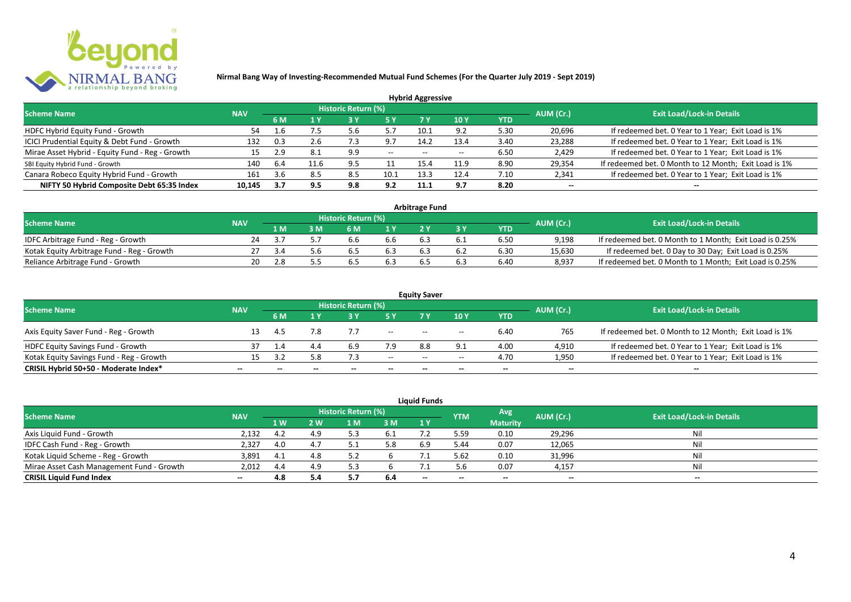

|                                                 |            |      |      |                            |       | <b>Hybrid Aggressive</b> |      |      |                          |                                                       |
|-------------------------------------------------|------------|------|------|----------------------------|-------|--------------------------|------|------|--------------------------|-------------------------------------------------------|
| <b>Scheme Name</b>                              | <b>NAV</b> |      |      | <b>Historic Return (%)</b> |       |                          |      |      | AUM (Cr.)                | <b>Exit Load/Lock-in Details</b>                      |
|                                                 | 6 M<br>1 Y |      | 7 Y  | 10Y                        | YTD   |                          |      |      |                          |                                                       |
| HDFC Hybrid Equity Fund - Growth                | 54         | 1.6  | , ל  | 5.6                        |       | 10.1                     | 9.2  | 5.30 | 20,696                   | If redeemed bet. 0 Year to 1 Year; Exit Load is 1%    |
| ICICI Prudential Equity & Debt Fund - Growth    | 132        | 0.3  | 2.6  | -3                         | 9.7   | 14.2                     | 13.4 | 3.40 | 23,288                   | If redeemed bet. 0 Year to 1 Year; Exit Load is 1%    |
| Mirae Asset Hybrid - Equity Fund - Reg - Growth | 15         | 2.9  |      | 9.9                        | $- -$ | $- -$                    |      | 6.50 | 2,429                    | If redeemed bet. 0 Year to 1 Year; Exit Load is 1%    |
| SBI Equity Hybrid Fund - Growth                 | 140        | 6.4  | 11.6 | 9.5                        |       | 15.4                     | 11.9 | 8.90 | 29,354                   | If redeemed bet. 0 Month to 12 Month; Exit Load is 1% |
| Canara Robeco Equity Hybrid Fund - Growth       | 161        | 3.6  | 8.5  | 8.5                        | 10.1  | 13.3                     | 12.4 | 7.10 | 2,341                    | If redeemed bet. 0 Year to 1 Year; Exit Load is 1%    |
| NIFTY 50 Hybrid Composite Debt 65:35 Index      | 10.145     | -3.7 | 9.5  | 9.8                        | 9.2   | 11.1                     | 9.7  | 8.20 | $\overline{\phantom{a}}$ | $- -$                                                 |

| <b>Arbitrage Fund</b>                      |            |     |  |                     |     |  |     |            |           |                                                         |
|--------------------------------------------|------------|-----|--|---------------------|-----|--|-----|------------|-----------|---------------------------------------------------------|
| <b>Scheme Name</b>                         | <b>NAV</b> |     |  | Historic Return (%) |     |  |     |            | AUM (Cr.) | <b>Exit Load/Lock-in Details</b>                        |
|                                            |            | 1 M |  | 6 M                 |     |  |     | <b>YTD</b> |           |                                                         |
| IDFC Arbitrage Fund - Reg - Growth         | 24         |     |  |                     | b.b |  |     | 6.50       | 9.198     | If redeemed bet. 0 Month to 1 Month; Exit Load is 0.25% |
| Kotak Equity Arbitrage Fund - Reg - Growth |            |     |  | 6.5                 | 6.3 |  | 6.2 | 6.30       | 15,630    | If redeemed bet. 0 Day to 30 Day; Exit Load is 0.25%    |
| Reliance Arbitrage Fund - Growth           | 20         |     |  | b.5                 | 6.5 |  | 6.3 | 6.40       | 8.937     | If redeemed bet. 0 Month to 1 Month; Exit Load is 0.25% |

| <b>Equity Saver</b>                      |                          |     |                          |                     |                          |                                       |                                       |      |                          |                                                       |
|------------------------------------------|--------------------------|-----|--------------------------|---------------------|--------------------------|---------------------------------------|---------------------------------------|------|--------------------------|-------------------------------------------------------|
| <b>Scheme Name</b>                       | <b>NAV</b>               |     |                          | Historic Return (%) |                          |                                       |                                       |      | AUM (Cr.)                | <b>Exit Load/Lock-in Details</b>                      |
|                                          |                          | 6 M |                          |                     |                          |                                       | 10 Y                                  | YTD  |                          |                                                       |
| Axis Equity Saver Fund - Reg - Growth    |                          | 4.5 |                          |                     | $\overline{\phantom{a}}$ | $- -$                                 | $\hspace{0.05cm}$ – $\hspace{0.05cm}$ | 6.40 | 765                      | If redeemed bet. 0 Month to 12 Month; Exit Load is 1% |
| HDFC Equity Savings Fund - Growth        |                          |     | ад                       |                     | 7.9                      | 8.8                                   |                                       | 4.00 | 4,910                    | If redeemed bet. 0 Year to 1 Year; Exit Load is 1%    |
| Kotak Equity Savings Fund - Reg - Growth | 15.                      | -27 | 5.8                      | 7.3                 | $- -$                    | $\hspace{0.05cm}$ – $\hspace{0.05cm}$ | $- -$                                 | 4.70 | 1,950                    | If redeemed bet. 0 Year to 1 Year; Exit Load is 1%    |
| CRISIL Hybrid 50+50 - Moderate Index*    | $\overline{\phantom{a}}$ |     | $\overline{\phantom{a}}$ | $\qquad \qquad$     | $\overline{\phantom{a}}$ | $- -$                                 | $\overline{\phantom{a}}$              | $-$  | $\overline{\phantom{a}}$ | $\overline{\phantom{a}}$                              |

| <b>Liquid Funds</b>                       |            |     |     |                     |      |       |            |                 |           |                                  |
|-------------------------------------------|------------|-----|-----|---------------------|------|-------|------------|-----------------|-----------|----------------------------------|
| <b>Scheme Name</b>                        | <b>NAV</b> |     |     | Historic Return (%) |      |       | <b>YTM</b> | Avg             | AUM (Cr.) | <b>Exit Load/Lock-in Details</b> |
|                                           |            | 1 W | 2 W | 1 M                 | 3 M  | 1Y    |            | <b>Maturity</b> |           |                                  |
| Axis Liquid Fund - Growth                 | 2,132      | 4.2 |     |                     | -6.1 |       | 5.59       | 0.10            | 29,296    | Nil                              |
| IDFC Cash Fund - Reg - Growth             | 2,327      | 4.0 |     |                     |      | 6.9   | 5.44       | 0.07            | 12,065    | Nil                              |
| Kotak Liquid Scheme - Reg - Growth        | 3,891      | 4.1 |     |                     |      |       | 5.62       | 0.10            | 31,996    | Nil                              |
| Mirae Asset Cash Management Fund - Growth | 2,012      | 4.4 |     |                     |      |       | 5.6        | 0.07            | 4,157     | Nil                              |
| <b>CRISIL Liquid Fund Index</b>           | $\sim$     | 4.8 |     |                     | 6.4  | $- -$ | $- -$      | $- -$           | --        | $- -$                            |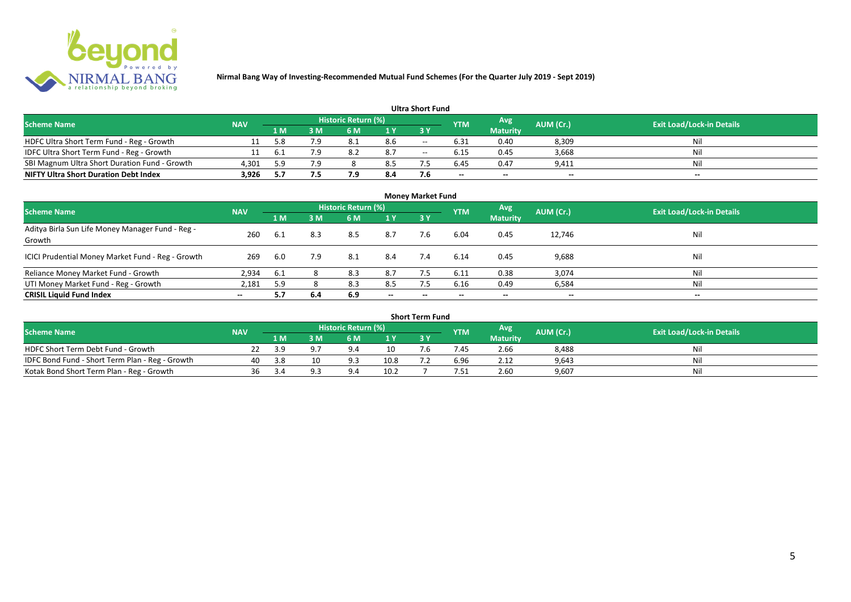

#### **1 M 3 M 6 M 1 Y 3 Y** NOFC Ultra Short Term Fund - Reg - Growth 11 5.8 7.9 8.1 8.6 -- 6.31 0.40 8,309 Nil<br>11 6.1 7.9 8.2 8.7 -- 6.15 0.45 3,668 Nil IDFC Ultra Short Term Fund - Reg - Growth 11 6.1 7.9 8.2 8.7 -- 6.15 0.45 3,668 Nil SBI Magnum Ultra Short Duration Fund - Growth 4,301 5.9 7.9 8 8.5 7.5 6.45 0.47 9,411 Nil **NIFTY Ultra Short Duration Debt Index Avg Maturity Historic Return (%) YTM Ultra Short Fund** Scheme Name **NAV NAV Historic Return (%)** NAV Historic Return (%) Note and the May AUM (Cr.) Exit Load/Lock-in Details<br>
The Scheme Name Naturity AUM (Cr.) Exit Load/Lock-in Details

| <b>Money Market Fund</b>                                   |            |      |     |                            |                          |           |            |                          |                          |                                  |
|------------------------------------------------------------|------------|------|-----|----------------------------|--------------------------|-----------|------------|--------------------------|--------------------------|----------------------------------|
| <b>Scheme Name</b>                                         | <b>NAV</b> |      |     | <b>Historic Return (%)</b> |                          |           | <b>YTM</b> | Avg                      | AUM (Cr.)                | <b>Exit Load/Lock-in Details</b> |
|                                                            |            | 1 M  | 3M  | 6 M                        | 1Y                       | <b>3Y</b> |            | <b>Maturity</b>          |                          |                                  |
| Aditya Birla Sun Life Money Manager Fund - Reg -<br>Growth | 260        | 6.1  | 8.3 | 8.5                        | 8.7                      | 7.6       | 6.04       | 0.45                     | 12,746                   | Nil                              |
| ICICI Prudential Money Market Fund - Reg - Growth          | 269        | 6.0  | 7.9 | 8.1                        | 8.4                      | 7.4       | 6.14       | 0.45                     | 9,688                    | Nil                              |
| Reliance Money Market Fund - Growth                        | 2,934      | -6.1 |     | 8.3                        | 8.7                      |           | 6.11       | 0.38                     | 3,074                    | Nil                              |
| UTI Money Market Fund - Reg - Growth                       | 2,181      | 5.9  |     | 8.3                        | 8.5                      | 7.5       | 6.16       | 0.49                     | 6,584                    | Nil                              |
| <b>CRISIL Liquid Fund Index</b>                            | $- -$      | 5.7  | 6.4 | 6.9                        | $\overline{\phantom{a}}$ | $- -$     | $\!-$      | $\overline{\phantom{a}}$ | $\overline{\phantom{a}}$ | $\overline{\phantom{a}}$         |

| Short Term Fund                                 |            |     |            |                     |      |    |            |                 |           |                                  |
|-------------------------------------------------|------------|-----|------------|---------------------|------|----|------------|-----------------|-----------|----------------------------------|
| <b>Scheme Name</b>                              | <b>NAV</b> |     |            | Historic Return (%) |      |    | <b>YTM</b> | Avg             | AUM (Cr.) | <b>Exit Load/Lock-in Details</b> |
|                                                 |            | 1 M | 3 M        | 6 M                 | 1 V  |    |            | <b>Maturity</b> |           |                                  |
| HDFC Short Term Debt Fund - Growth              |            | 3.9 | Q.         |                     |      | .b | .45        | 2.66            | 8,488     | Nil                              |
| IDFC Bond Fund - Short Term Plan - Reg - Growth | 40         | 3.8 | 10         |                     | 10.8 |    | 6.96       | 2.12            | 9,643     | Nil                              |
| Kotak Bond Short Term Plan - Reg - Growth       | 36         | 3.4 | <b>Q</b> : |                     | 10.2 |    | '.51       | 2.60            | 9,607     | Nil                              |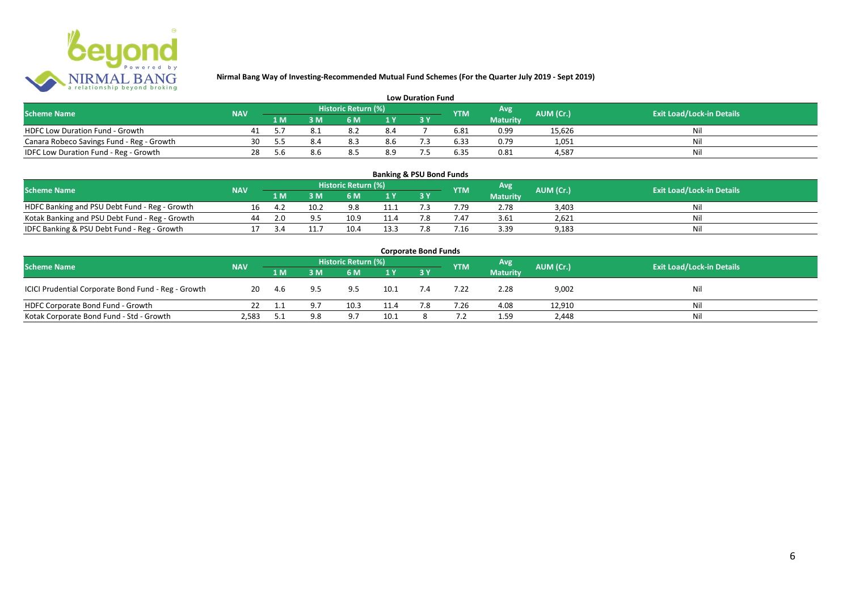

| <b>Low Duration Fund</b>                  |            |     |  |                     |     |  |            |                 |           |                                  |
|-------------------------------------------|------------|-----|--|---------------------|-----|--|------------|-----------------|-----------|----------------------------------|
| <b>Scheme Name</b>                        | <b>NAV</b> |     |  | Historic Return (%) |     |  | <b>YTM</b> | Avg             | AUM (Cr.) | <b>Exit Load/Lock-in Details</b> |
|                                           |            | 1 M |  | 6 M.                |     |  |            | <b>Maturity</b> |           |                                  |
| <b>HDFC Low Duration Fund - Growth</b>    |            |     |  |                     | 8.4 |  | 6.81       | 0.99            | 15,626    | Ni                               |
| Canara Robeco Savings Fund - Reg - Growth | 30         |     |  | 8.3                 | 8.6 |  | 6.33       | 0.79            | 1,051     | Ni                               |
| IDFC Low Duration Fund - Reg - Growth     | 28         | b.b |  | 8.5                 | 8.9 |  | 6.35       | 0.81            | 4.587     | Ni                               |

| <b>Banking &amp; PSU Bond Funds</b>            |            |     |          |                     |                |    |                 |                 |           |                                  |
|------------------------------------------------|------------|-----|----------|---------------------|----------------|----|-----------------|-----------------|-----------|----------------------------------|
| <b>Scheme Name</b>                             | <b>NAV</b> |     |          | Historic Return (%) |                |    | <b>YTM</b>      | Avg             | AUM (Cr.) | <b>Exit Load/Lock-in Details</b> |
|                                                |            | 1 M |          | 6 M                 | 1 <sub>Y</sub> |    |                 | <b>Maturity</b> |           |                                  |
| HDFC Banking and PSU Debt Fund - Reg - Growth  | 16         | 4.2 | 10.2     | 9.8                 | 11.1           |    | 7.79            | 2.78            | 3.403     | Nil                              |
| Kotak Banking and PSU Debt Fund - Reg - Growth | 44         | 2.0 | $\Omega$ | 10.9                | 11.4           |    | 7.47            | 3.61            | 2,621     | Nil                              |
| IDFC Banking & PSU Debt Fund - Reg - Growth    |            |     |          | 10.4                | 13.5           | 70 | $^{\prime}$ .16 | 3.39            | 9,183     | Nil                              |

| <b>Corporate Bond Funds</b>                         |            |      |     |                     |      |     |            |                 |           |                                  |
|-----------------------------------------------------|------------|------|-----|---------------------|------|-----|------------|-----------------|-----------|----------------------------------|
| <b>Scheme Name</b>                                  | <b>NAV</b> |      |     | Historic Return (%) |      |     | <b>YTM</b> | <b>Avg</b>      | AUM (Cr.) | <b>Exit Load/Lock-in Details</b> |
|                                                     |            | 1 M  | 3 M | 6 M                 | 1Y   |     |            | <b>Maturity</b> |           |                                  |
| ICICI Prudential Corporate Bond Fund - Reg - Growth | 20         | -4.6 | 9.5 | 9.5                 | 10.1 | 7.4 | 7.22       | 2.28            | 9,002     | Nil                              |
| HDFC Corporate Bond Fund - Growth                   |            |      | 9 7 | 10.3                | 11.4 | 7.8 | 7.26       | 4.08            | 12,910    | Ni'                              |
| Kotak Corporate Bond Fund - Std - Growth            | 2,583      |      | 9.8 |                     | 10.1 |     |            | 1.59            | 2,448     | Nil                              |